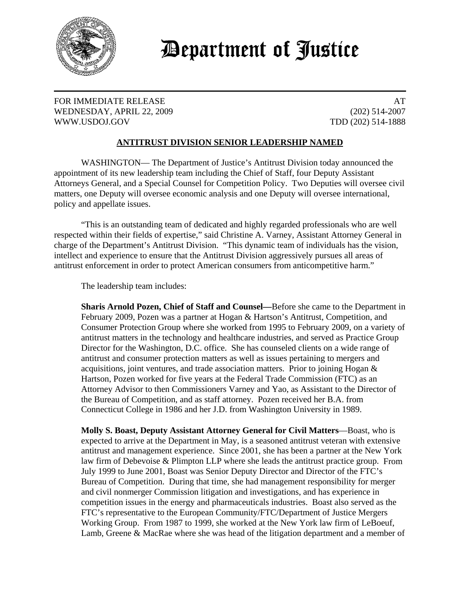

## Department of Justice

FOR IMMEDIATE RELEASE AT A SERIES AND A SERIES AND A SERIES AND A SERIES AND A SERIES AND A SERIES AND A SERIES AND A SERIES AND A SERIES ASSESSED AS A SERIES AND A SERIES ASSESSED ASSESSED AS A SERIES AND A SERIES ASSESSE WEDNESDAY, APRIL 22, 2009 (202) 514-2007 WWW.USDOJ.GOV TDD (202) 514-1888

## **ANTITRUST DIVISION SENIOR LEADERSHIP NAMED**

WASHINGTON— The Department of Justice's Antitrust Division today announced the appointment of its new leadership team including the Chief of Staff, four Deputy Assistant Attorneys General, and a Special Counsel for Competition Policy. Two Deputies will oversee civil matters, one Deputy will oversee economic analysis and one Deputy will oversee international, policy and appellate issues.

"This is an outstanding team of dedicated and highly regarded professionals who are well respected within their fields of expertise," said Christine A. Varney, Assistant Attorney General in charge of the Department's Antitrust Division. "This dynamic team of individuals has the vision, intellect and experience to ensure that the Antitrust Division aggressively pursues all areas of antitrust enforcement in order to protect American consumers from anticompetitive harm."

The leadership team includes:

**Sharis Arnold Pozen, Chief of Staff and Counsel—**Before she came to the Department in February 2009, Pozen was a partner at Hogan & Hartson's Antitrust, Competition, and Consumer Protection Group where she worked from 1995 to February 2009, on a variety of antitrust matters in the technology and healthcare industries, and served as Practice Group Director for the Washington, D.C. office. She has counseled clients on a wide range of antitrust and consumer protection matters as well as issues pertaining to mergers and acquisitions, joint ventures, and trade association matters. Prior to joining Hogan  $\&$ Hartson, Pozen worked for five years at the Federal Trade Commission (FTC) as an Attorney Advisor to then Commissioners Varney and Yao, as Assistant to the Director of the Bureau of Competition, and as staff attorney. Pozen received her B.A. from Connecticut College in 1986 and her J.D. from Washington University in 1989.

**Molly S. Boast, Deputy Assistant Attorney General for Civil Matters**—Boast, who is expected to arrive at the Department in May, is a seasoned antitrust veteran with extensive antitrust and management experience. Since 2001, she has been a partner at the New York law firm of Debevoise & Plimpton LLP where she leads the antitrust practice group. From July 1999 to June 2001, Boast was Senior Deputy Director and Director of the FTC's Bureau of Competition. During that time, she had management responsibility for merger and civil nonmerger Commission litigation and investigations, and has experience in competition issues in the energy and pharmaceuticals industries. Boast also served as the FTC's representative to the European Community/FTC/Department of Justice Mergers Working Group. From 1987 to 1999, she worked at the New York law firm of LeBoeuf, Lamb, Greene & MacRae where she was head of the litigation department and a member of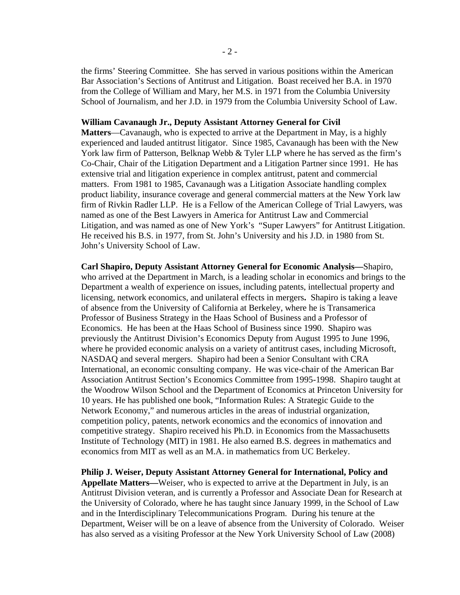the firms' Steering Committee. She has served in various positions within the American Bar Association's Sections of Antitrust and Litigation. Boast received her B.A. in 1970 from the College of William and Mary, her M.S. in 1971 from the Columbia University School of Journalism, and her J.D. in 1979 from the Columbia University School of Law.

## **William Cavanaugh Jr., Deputy Assistant Attorney General for Civil**

**Matters**—Cavanaugh, who is expected to arrive at the Department in May, is a highly experienced and lauded antitrust litigator. Since 1985, Cavanaugh has been with the New York law firm of Patterson, Belknap Webb & Tyler LLP where he has served as the firm's Co-Chair, Chair of the Litigation Department and a Litigation Partner since 1991. He has extensive trial and litigation experience in complex antitrust, patent and commercial matters. From 1981 to 1985, Cavanaugh was a Litigation Associate handling complex product liability, insurance coverage and general commercial matters at the New York law firm of Rivkin Radler LLP. He is a Fellow of the American College of Trial Lawyers, was named as one of the Best Lawyers in America for Antitrust Law and Commercial Litigation, and was named as one of New York's "Super Lawyers" for Antitrust Litigation. He received his B.S. in 1977, from St. John's University and his J.D. in 1980 from St. John's University School of Law.

**Carl Shapiro, Deputy Assistant Attorney General for Economic Analysis—**Shapiro, who arrived at the Department in March, is a leading scholar in economics and brings to the Department a wealth of experience on issues, including patents, intellectual property and licensing, network economics, and unilateral effects in mergers**.** Shapiro is taking a leave of absence from the University of California at Berkeley, where he is Transamerica Professor of Business Strategy in the Haas School of Business and a Professor of Economics. He has been at the Haas School of Business since 1990. Shapiro was previously the Antitrust Division's Economics Deputy from August 1995 to June 1996, where he provided economic analysis on a variety of antitrust cases, including Microsoft, NASDAQ and several mergers. Shapiro had been a Senior Consultant with CRA International, an economic consulting company. He was vice-chair of the American Bar Association Antitrust Section's Economics Committee from 1995-1998. Shapiro taught at the Woodrow Wilson School and the Department of Economics at Princeton University for 10 years. He has published one book, "Information Rules: A Strategic Guide to the Network Economy," and numerous articles in the areas of industrial organization, competition policy, patents, network economics and the economics of innovation and competitive strategy. Shapiro received his Ph.D. in Economics from the Massachusetts Institute of Technology (MIT) in 1981. He also earned B.S. degrees in mathematics and economics from MIT as well as an M.A. in mathematics from UC Berkeley.

**Philip J. Weiser, Deputy Assistant Attorney General for International, Policy and Appellate Matters—**Weiser, who is expected to arrive at the Department in July, is an Antitrust Division veteran, and is currently a Professor and Associate Dean for Research at the University of Colorado, where he has taught since January 1999, in the School of Law and in the Interdisciplinary Telecommunications Program. During his tenure at the Department, Weiser will be on a leave of absence from the University of Colorado. Weiser has also served as a visiting Professor at the New York University School of Law (2008)